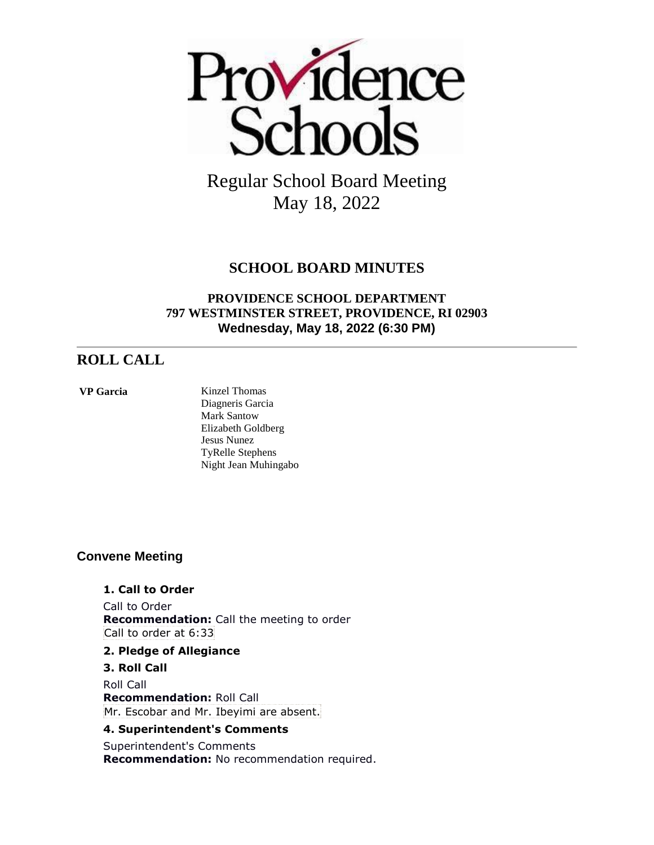

### **SCHOOL BOARD MINUTES**

### **PROVIDENCE SCHOOL DEPARTMENT 797 WESTMINSTER STREET, PROVIDENCE, RI 02903 Wednesday, May 18, 2022 (6:30 PM)**

### **ROLL CALL**

**VP Garcia** Kinzel Thomas Diagneris Garcia Mark Santow Elizabeth Goldberg Jesus Nunez TyRelle Stephens Night Jean Muhingabo

### **Convene Meeting**

### **1. Call to Order**

Call to Order **Recommendation:** Call the meeting to order Call to order at 6:33

#### **2. Pledge of Allegiance**

**3. Roll Call** Roll Call **Recommendation:** Roll Call Mr. Escobar and Mr. Ibeyimi are absent.

### **4. Superintendent's Comments**

Superintendent's Comments **Recommendation:** No recommendation required.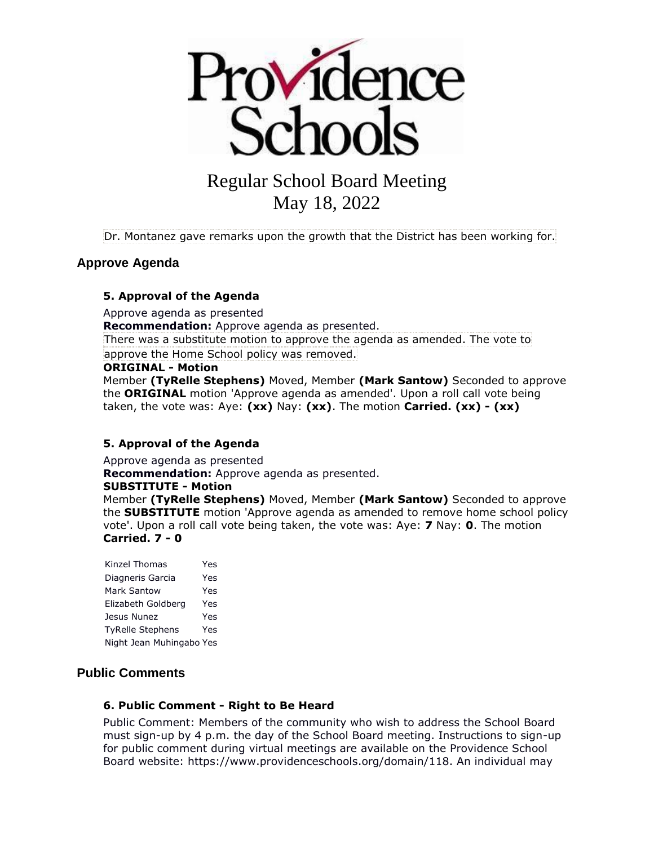

Dr. Montanez gave remarks upon the growth that the District has been working for.

### **Approve Agenda**

#### **5. Approval of the Agenda**

Approve agenda as presented **Recommendation:** Approve agenda as presented. There was a substitute motion to approve the agenda as amended. The vote to approve the Home School policy was removed.

#### **ORIGINAL - Motion**

Member **(TyRelle Stephens)** Moved, Member **(Mark Santow)** Seconded to approve the **ORIGINAL** motion 'Approve agenda as amended'. Upon a roll call vote being taken, the vote was: Aye: **(xx)** Nay: **(xx)**. The motion **Carried. (xx) - (xx)** 

#### **5. Approval of the Agenda**

Approve agenda as presented

**Recommendation:** Approve agenda as presented.

#### **SUBSTITUTE - Motion**

Member **(TyRelle Stephens)** Moved, Member **(Mark Santow)** Seconded to approve the **SUBSTITUTE** motion 'Approve agenda as amended to remove home school policy vote'. Upon a roll call vote being taken, the vote was: Aye: **7** Nay: **0**. The motion **Carried. 7 - 0** 

Kinzel Thomas Yes Diagneris Garcia Yes Mark Santow Yes Elizabeth Goldberg Yes Jesus Nunez Yes TyRelle Stephens Yes Night Jean Muhingabo Yes

#### **Public Comments**

#### **6. Public Comment - Right to Be Heard**

Public Comment: Members of the community who wish to address the School Board must sign-up by 4 p.m. the day of the School Board meeting. Instructions to sign-up for public comment during virtual meetings are available on the Providence School Board website: https://www.providenceschools.org/domain/118. An individual may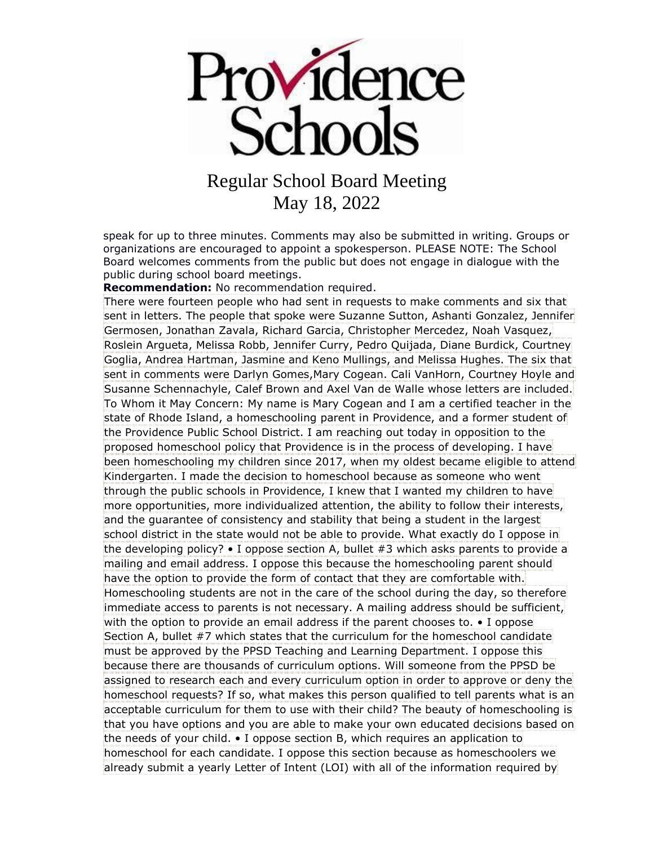

speak for up to three minutes. Comments may also be submitted in writing. Groups or organizations are encouraged to appoint a spokesperson. PLEASE NOTE: The School Board welcomes comments from the public but does not engage in dialogue with the public during school board meetings.

**Recommendation:** No recommendation required.

There were fourteen people who had sent in requests to make comments and six that sent in letters. The people that spoke were Suzanne Sutton, Ashanti Gonzalez, Jennifer Germosen, Jonathan Zavala, Richard Garcia, Christopher Mercedez, Noah Vasquez, Roslein Argueta, Melissa Robb, Jennifer Curry, Pedro Quijada, Diane Burdick, Courtney Goglia, Andrea Hartman, Jasmine and Keno Mullings, and Melissa Hughes. The six that sent in comments were Darlyn Gomes,Mary Cogean. Cali VanHorn, Courtney Hoyle and Susanne Schennachyle, Calef Brown and Axel Van de Walle whose letters are included. To Whom it May Concern: My name is Mary Cogean and I am a certified teacher in the state of Rhode Island, a homeschooling parent in Providence, and a former student of the Providence Public School District. I am reaching out today in opposition to the proposed homeschool policy that Providence is in the process of developing. I have been homeschooling my children since 2017, when my oldest became eligible to attend Kindergarten. I made the decision to homeschool because as someone who went through the public schools in Providence, I knew that I wanted my children to have more opportunities, more individualized attention, the ability to follow their interests, and the guarantee of consistency and stability that being a student in the largest school district in the state would not be able to provide. What exactly do I oppose in the developing policy?  $\bullet$  I oppose section A, bullet #3 which asks parents to provide a mailing and email address. I oppose this because the homeschooling parent should have the option to provide the form of contact that they are comfortable with. Homeschooling students are not in the care of the school during the day, so therefore immediate access to parents is not necessary. A mailing address should be sufficient, with the option to provide an email address if the parent chooses to. • I oppose Section A, bullet #7 which states that the curriculum for the homeschool candidate must be approved by the PPSD Teaching and Learning Department. I oppose this because there are thousands of curriculum options. Will someone from the PPSD be assigned to research each and every curriculum option in order to approve or deny the homeschool requests? If so, what makes this person qualified to tell parents what is an acceptable curriculum for them to use with their child? The beauty of homeschooling is that you have options and you are able to make your own educated decisions based on the needs of your child. • I oppose section B, which requires an application to homeschool for each candidate. I oppose this section because as homeschoolers we already submit a yearly Letter of Intent (LOI) with all of the information required by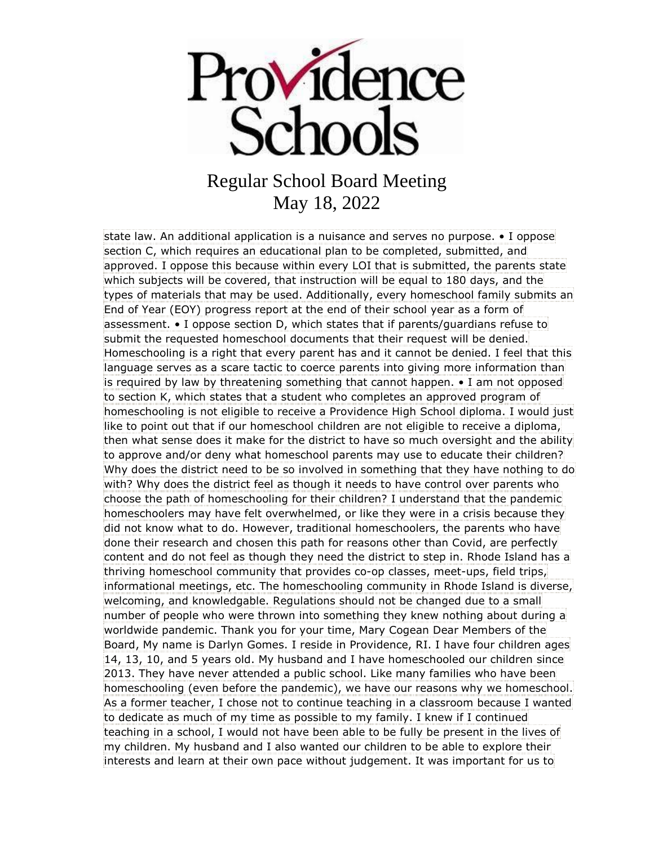

state law. An additional application is a nuisance and serves no purpose. • I oppose section C, which requires an educational plan to be completed, submitted, and approved. I oppose this because within every LOI that is submitted, the parents state which subjects will be covered, that instruction will be equal to 180 days, and the types of materials that may be used. Additionally, every homeschool family submits an End of Year (EOY) progress report at the end of their school year as a form of assessment. • I oppose section D, which states that if parents/guardians refuse to submit the requested homeschool documents that their request will be denied. Homeschooling is a right that every parent has and it cannot be denied. I feel that this language serves as a scare tactic to coerce parents into giving more information than is required by law by threatening something that cannot happen. • I am not opposed to section K, which states that a student who completes an approved program of homeschooling is not eligible to receive a Providence High School diploma. I would just like to point out that if our homeschool children are not eligible to receive a diploma, then what sense does it make for the district to have so much oversight and the ability to approve and/or deny what homeschool parents may use to educate their children? Why does the district need to be so involved in something that they have nothing to do with? Why does the district feel as though it needs to have control over parents who choose the path of homeschooling for their children? I understand that the pandemic homeschoolers may have felt overwhelmed, or like they were in a crisis because they did not know what to do. However, traditional homeschoolers, the parents who have done their research and chosen this path for reasons other than Covid, are perfectly content and do not feel as though they need the district to step in. Rhode Island has a thriving homeschool community that provides co-op classes, meet-ups, field trips, informational meetings, etc. The homeschooling community in Rhode Island is diverse, welcoming, and knowledgable. Regulations should not be changed due to a small number of people who were thrown into something they knew nothing about during a worldwide pandemic. Thank you for your time, Mary Cogean Dear Members of the Board, My name is Darlyn Gomes. I reside in Providence, RI. I have four children ages 14, 13, 10, and 5 years old. My husband and I have homeschooled our children since 2013. They have never attended a public school. Like many families who have been homeschooling (even before the pandemic), we have our reasons why we homeschool. As a former teacher, I chose not to continue teaching in a classroom because I wanted to dedicate as much of my time as possible to my family. I knew if I continued teaching in a school, I would not have been able to be fully be present in the lives of my children. My husband and I also wanted our children to be able to explore their interests and learn at their own pace without judgement. It was important for us to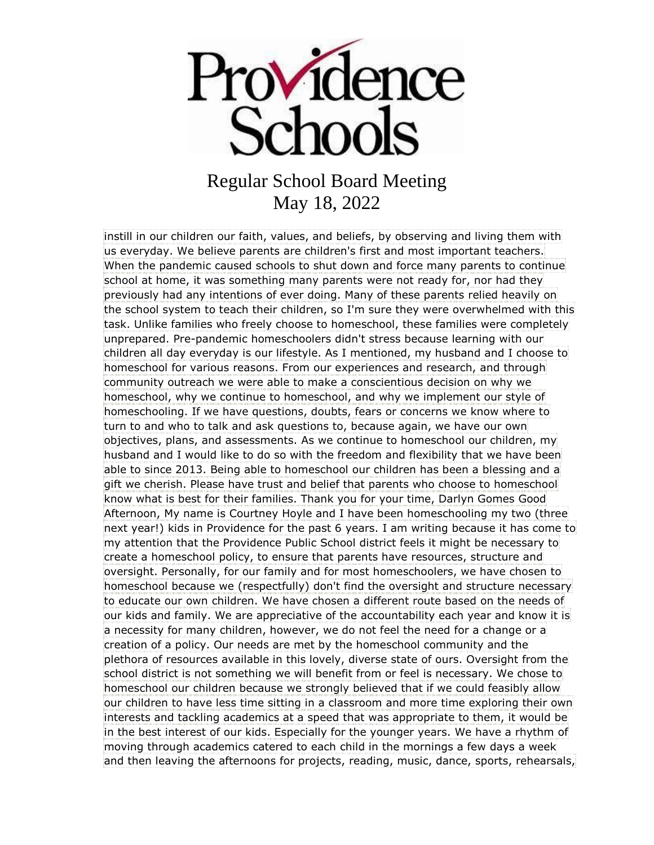

instill in our children our faith, values, and beliefs, by observing and living them with us everyday. We believe parents are children's first and most important teachers. When the pandemic caused schools to shut down and force many parents to continue school at home, it was something many parents were not ready for, nor had they previously had any intentions of ever doing. Many of these parents relied heavily on the school system to teach their children, so I'm sure they were overwhelmed with this task. Unlike families who freely choose to homeschool, these families were completely unprepared. Pre-pandemic homeschoolers didn't stress because learning with our children all day everyday is our lifestyle. As I mentioned, my husband and I choose to homeschool for various reasons. From our experiences and research, and through community outreach we were able to make a conscientious decision on why we homeschool, why we continue to homeschool, and why we implement our style of homeschooling. If we have questions, doubts, fears or concerns we know where to turn to and who to talk and ask questions to, because again, we have our own objectives, plans, and assessments. As we continue to homeschool our children, my husband and I would like to do so with the freedom and flexibility that we have been able to since 2013. Being able to homeschool our children has been a blessing and a gift we cherish. Please have trust and belief that parents who choose to homeschool know what is best for their families. Thank you for your time, Darlyn Gomes Good Afternoon, My name is Courtney Hoyle and I have been homeschooling my two (three next year!) kids in Providence for the past 6 years. I am writing because it has come to my attention that the Providence Public School district feels it might be necessary to create a homeschool policy, to ensure that parents have resources, structure and oversight. Personally, for our family and for most homeschoolers, we have chosen to homeschool because we (respectfully) don't find the oversight and structure necessary to educate our own children. We have chosen a different route based on the needs of our kids and family. We are appreciative of the accountability each year and know it is a necessity for many children, however, we do not feel the need for a change or a creation of a policy. Our needs are met by the homeschool community and the plethora of resources available in this lovely, diverse state of ours. Oversight from the school district is not something we will benefit from or feel is necessary. We chose to homeschool our children because we strongly believed that if we could feasibly allow our children to have less time sitting in a classroom and more time exploring their own interests and tackling academics at a speed that was appropriate to them, it would be in the best interest of our kids. Especially for the younger years. We have a rhythm of moving through academics catered to each child in the mornings a few days a week and then leaving the afternoons for projects, reading, music, dance, sports, rehearsals,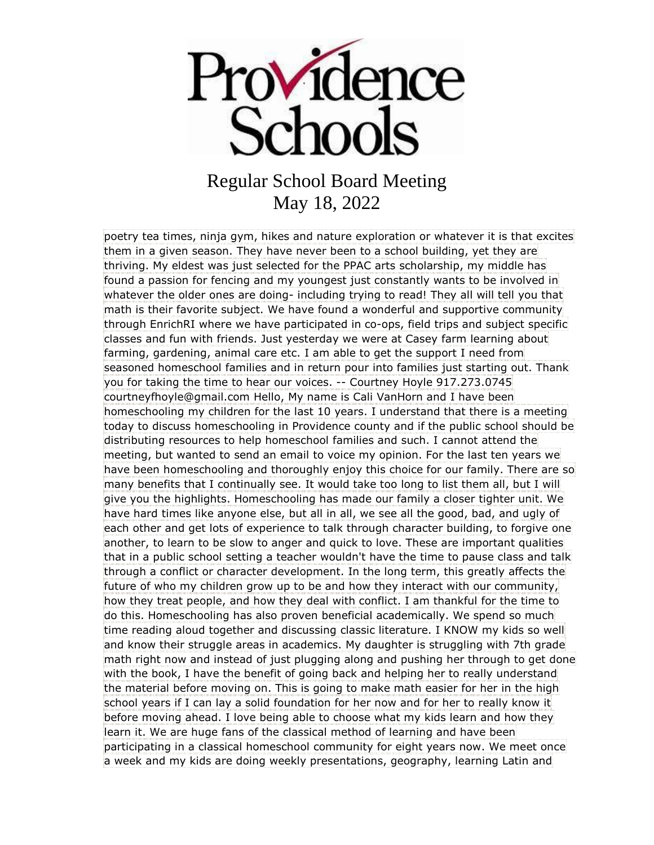

poetry tea times, ninja gym, hikes and nature exploration or whatever it is that excites them in a given season. They have never been to a school building, yet they are thriving. My eldest was just selected for the PPAC arts scholarship, my middle has found a passion for fencing and my youngest just constantly wants to be involved in whatever the older ones are doing- including trying to read! They all will tell you that math is their favorite subject. We have found a wonderful and supportive community through EnrichRI where we have participated in co-ops, field trips and subject specific classes and fun with friends. Just yesterday we were at Casey farm learning about farming, gardening, animal care etc. I am able to get the support I need from seasoned homeschool families and in return pour into families just starting out. Thank you for taking the time to hear our voices. -- Courtney Hoyle 917.273.0745 courtneyfhoyle@gmail.com Hello, My name is Cali VanHorn and I have been homeschooling my children for the last 10 years. I understand that there is a meeting today to discuss homeschooling in Providence county and if the public school should be distributing resources to help homeschool families and such. I cannot attend the meeting, but wanted to send an email to voice my opinion. For the last ten years we have been homeschooling and thoroughly enjoy this choice for our family. There are so many benefits that I continually see. It would take too long to list them all, but I will give you the highlights. Homeschooling has made our family a closer tighter unit. We have hard times like anyone else, but all in all, we see all the good, bad, and ugly of each other and get lots of experience to talk through character building, to forgive one another, to learn to be slow to anger and quick to love. These are important qualities that in a public school setting a teacher wouldn't have the time to pause class and talk through a conflict or character development. In the long term, this greatly affects the future of who my children grow up to be and how they interact with our community, how they treat people, and how they deal with conflict. I am thankful for the time to do this. Homeschooling has also proven beneficial academically. We spend so much time reading aloud together and discussing classic literature. I KNOW my kids so well and know their struggle areas in academics. My daughter is struggling with 7th grade math right now and instead of just plugging along and pushing her through to get done with the book, I have the benefit of going back and helping her to really understand the material before moving on. This is going to make math easier for her in the high school years if I can lay a solid foundation for her now and for her to really know it before moving ahead. I love being able to choose what my kids learn and how they learn it. We are huge fans of the classical method of learning and have been participating in a classical homeschool community for eight years now. We meet once a week and my kids are doing weekly presentations, geography, learning Latin and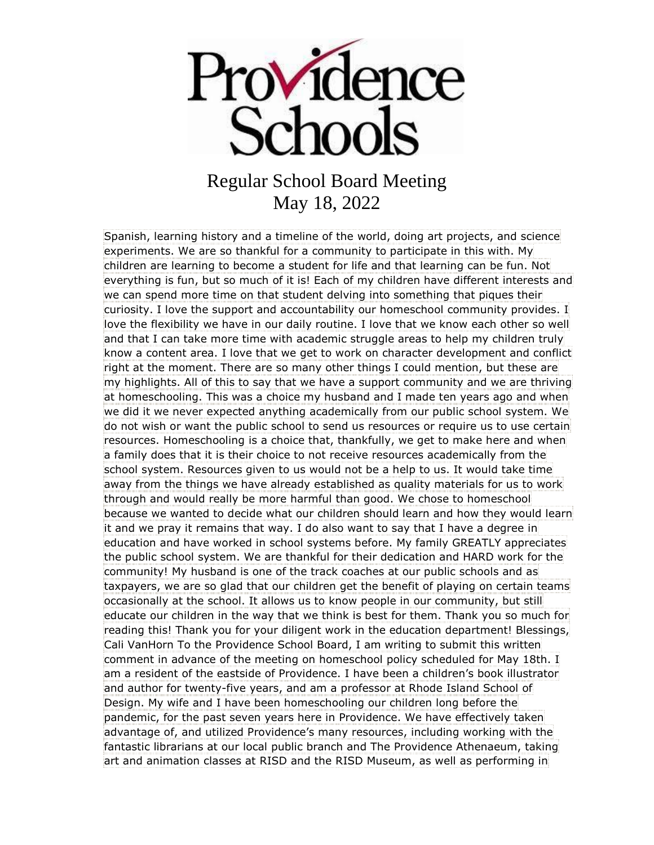

Spanish, learning history and a timeline of the world, doing art projects, and science experiments. We are so thankful for a community to participate in this with. My children are learning to become a student for life and that learning can be fun. Not everything is fun, but so much of it is! Each of my children have different interests and we can spend more time on that student delving into something that piques their curiosity. I love the support and accountability our homeschool community provides. I love the flexibility we have in our daily routine. I love that we know each other so well and that I can take more time with academic struggle areas to help my children truly know a content area. I love that we get to work on character development and conflict right at the moment. There are so many other things I could mention, but these are my highlights. All of this to say that we have a support community and we are thriving at homeschooling. This was a choice my husband and I made ten years ago and when we did it we never expected anything academically from our public school system. We do not wish or want the public school to send us resources or require us to use certain resources. Homeschooling is a choice that, thankfully, we get to make here and when a family does that it is their choice to not receive resources academically from the school system. Resources given to us would not be a help to us. It would take time away from the things we have already established as quality materials for us to work through and would really be more harmful than good. We chose to homeschool because we wanted to decide what our children should learn and how they would learn it and we pray it remains that way. I do also want to say that I have a degree in education and have worked in school systems before. My family GREATLY appreciates the public school system. We are thankful for their dedication and HARD work for the community! My husband is one of the track coaches at our public schools and as taxpayers, we are so glad that our children get the benefit of playing on certain teams occasionally at the school. It allows us to know people in our community, but still educate our children in the way that we think is best for them. Thank you so much for reading this! Thank you for your diligent work in the education department! Blessings, Cali VanHorn To the Providence School Board, I am writing to submit this written comment in advance of the meeting on homeschool policy scheduled for May 18th. I am a resident of the eastside of Providence. I have been a children's book illustrator and author for twenty-five years, and am a professor at Rhode Island School of Design. My wife and I have been homeschooling our children long before the pandemic, for the past seven years here in Providence. We have effectively taken advantage of, and utilized Providence's many resources, including working with the fantastic librarians at our local public branch and The Providence Athenaeum, taking art and animation classes at RISD and the RISD Museum, as well as performing in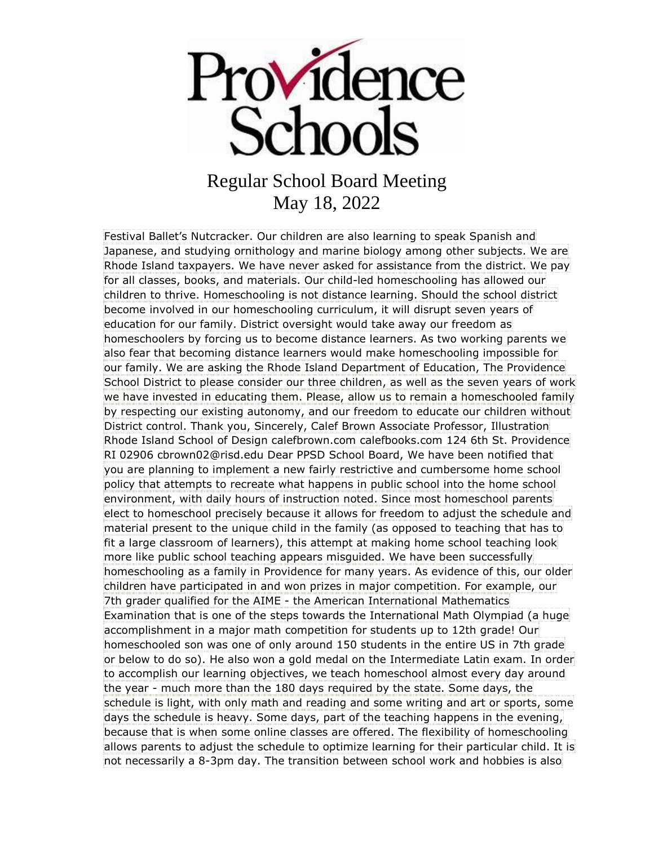

Festival Ballet's Nutcracker. Our children are also learning to speak Spanish and Japanese, and studying ornithology and marine biology among other subjects. We are Rhode Island taxpayers. We have never asked for assistance from the district. We pay for all classes, books, and materials. Our child-led homeschooling has allowed our children to thrive. Homeschooling is not distance learning. Should the school district become involved in our homeschooling curriculum, it will disrupt seven years of education for our family. District oversight would take away our freedom as homeschoolers by forcing us to become distance learners. As two working parents we also fear that becoming distance learners would make homeschooling impossible for our family. We are asking the Rhode Island Department of Education, The Providence School District to please consider our three children, as well as the seven years of work we have invested in educating them. Please, allow us to remain a homeschooled family by respecting our existing autonomy, and our freedom to educate our children without District control. Thank you, Sincerely, Calef Brown Associate Professor, Illustration Rhode Island School of Design calefbrown.com calefbooks.com 124 6th St. Providence RI 02906 cbrown02@risd.edu Dear PPSD School Board, We have been notified that you are planning to implement a new fairly restrictive and cumbersome home school policy that attempts to recreate what happens in public school into the home school environment, with daily hours of instruction noted. Since most homeschool parents elect to homeschool precisely because it allows for freedom to adjust the schedule and material present to the unique child in the family (as opposed to teaching that has to fit a large classroom of learners), this attempt at making home school teaching look more like public school teaching appears misguided. We have been successfully homeschooling as a family in Providence for many years. As evidence of this, our older children have participated in and won prizes in major competition. For example, our 7th grader qualified for the AIME - the American International Mathematics Examination that is one of the steps towards the International Math Olympiad (a huge accomplishment in a major math competition for students up to 12th grade! Our homeschooled son was one of only around 150 students in the entire US in 7th grade or below to do so). He also won a gold medal on the Intermediate Latin exam. In order to accomplish our learning objectives, we teach homeschool almost every day around the year - much more than the 180 days required by the state. Some days, the schedule is light, with only math and reading and some writing and art or sports, some days the schedule is heavy. Some days, part of the teaching happens in the evening, because that is when some online classes are offered. The flexibility of homeschooling allows parents to adjust the schedule to optimize learning for their particular child. It is not necessarily a 8-3pm day. The transition between school work and hobbies is also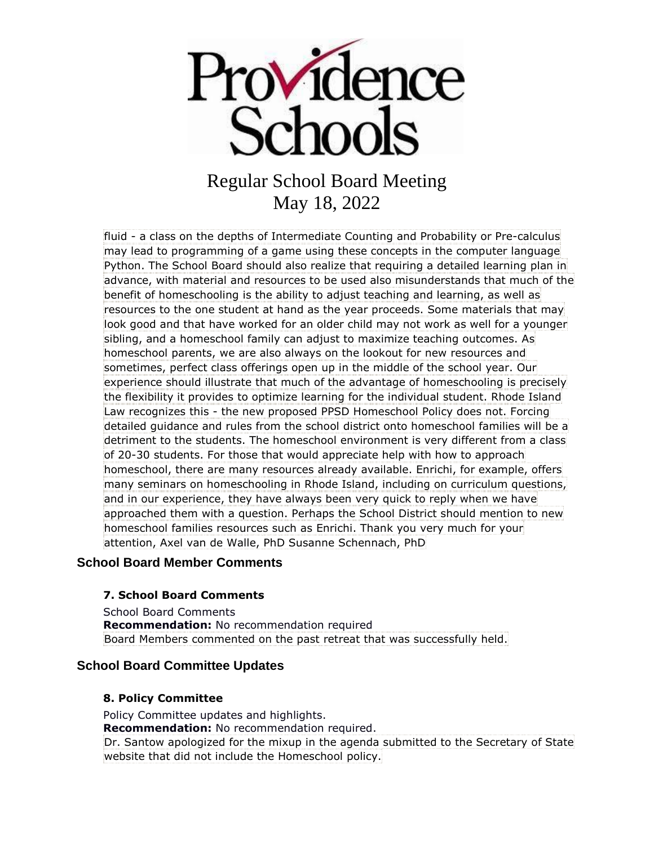

fluid - a class on the depths of Intermediate Counting and Probability or Pre-calculus may lead to programming of a game using these concepts in the computer language Python. The School Board should also realize that requiring a detailed learning plan in advance, with material and resources to be used also misunderstands that much of the benefit of homeschooling is the ability to adjust teaching and learning, as well as resources to the one student at hand as the year proceeds. Some materials that may look good and that have worked for an older child may not work as well for a younger sibling, and a homeschool family can adjust to maximize teaching outcomes. As homeschool parents, we are also always on the lookout for new resources and sometimes, perfect class offerings open up in the middle of the school year. Our experience should illustrate that much of the advantage of homeschooling is precisely the flexibility it provides to optimize learning for the individual student. Rhode Island Law recognizes this - the new proposed PPSD Homeschool Policy does not. Forcing detailed guidance and rules from the school district onto homeschool families will be a detriment to the students. The homeschool environment is very different from a class of 20-30 students. For those that would appreciate help with how to approach homeschool, there are many resources already available. Enrichi, for example, offers many seminars on homeschooling in Rhode Island, including on curriculum questions, and in our experience, they have always been very quick to reply when we have approached them with a question. Perhaps the School District should mention to new homeschool families resources such as Enrichi. Thank you very much for your attention, Axel van de Walle, PhD Susanne Schennach, PhD

### **School Board Member Comments**

#### **7. School Board Comments**

School Board Comments **Recommendation:** No recommendation required Board Members commented on the past retreat that was successfully held.

#### **School Board Committee Updates**

#### **8. Policy Committee**

Policy Committee updates and highlights. **Recommendation:** No recommendation required. Dr. Santow apologized for the mixup in the agenda submitted to the Secretary of State website that did not include the Homeschool policy.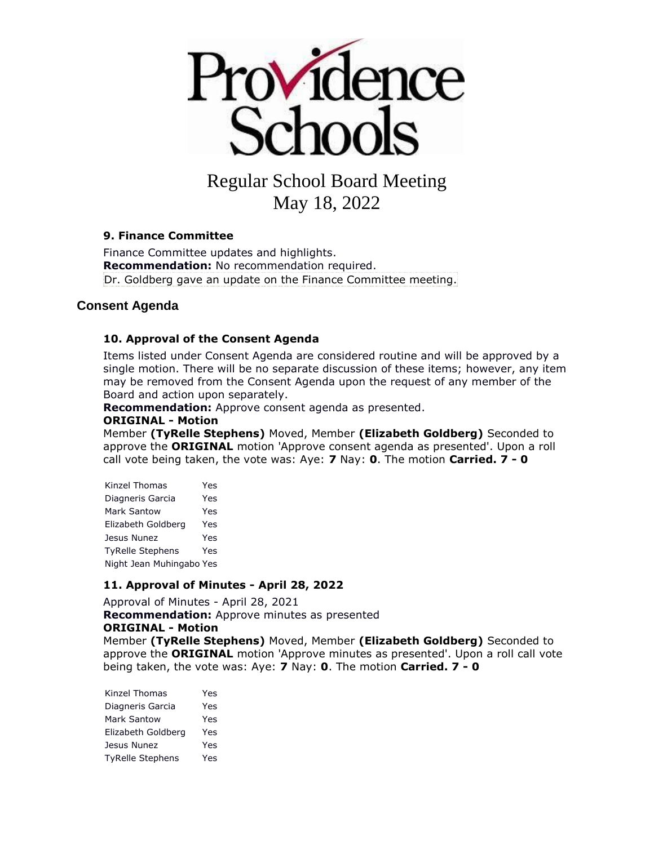

#### **9. Finance Committee**

Finance Committee updates and highlights. **Recommendation:** No recommendation required. Dr. Goldberg gave an update on the Finance Committee meeting.

#### **Consent Agenda**

#### **10. Approval of the Consent Agenda**

Items listed under Consent Agenda are considered routine and will be approved by a single motion. There will be no separate discussion of these items; however, any item may be removed from the Consent Agenda upon the request of any member of the Board and action upon separately.

**Recommendation:** Approve consent agenda as presented.

#### **ORIGINAL - Motion**

Member **(TyRelle Stephens)** Moved, Member **(Elizabeth Goldberg)** Seconded to approve the **ORIGINAL** motion 'Approve consent agenda as presented'. Upon a roll call vote being taken, the vote was: Aye: **7** Nay: **0**. The motion **Carried. 7 - 0** 

| Kinzel Thomas            | Yes |
|--------------------------|-----|
| Diagneris Garcia         | Yes |
| Mark Santow              | Yes |
| Elizabeth Goldberg       | Yes |
| Jesus Nunez              | Yes |
| <b>TyRelle Stephens</b>  | Yes |
| Night Jean Muhingabo Yes |     |

#### **11. Approval of Minutes - April 28, 2022**

Approval of Minutes - April 28, 2021 **Recommendation:** Approve minutes as presented **ORIGINAL - Motion**

Member **(TyRelle Stephens)** Moved, Member **(Elizabeth Goldberg)** Seconded to approve the **ORIGINAL** motion 'Approve minutes as presented'. Upon a roll call vote being taken, the vote was: Aye: **7** Nay: **0**. The motion **Carried. 7 - 0** 

| Yes |
|-----|
| Yes |
| Yes |
| Yes |
| Yes |
|     |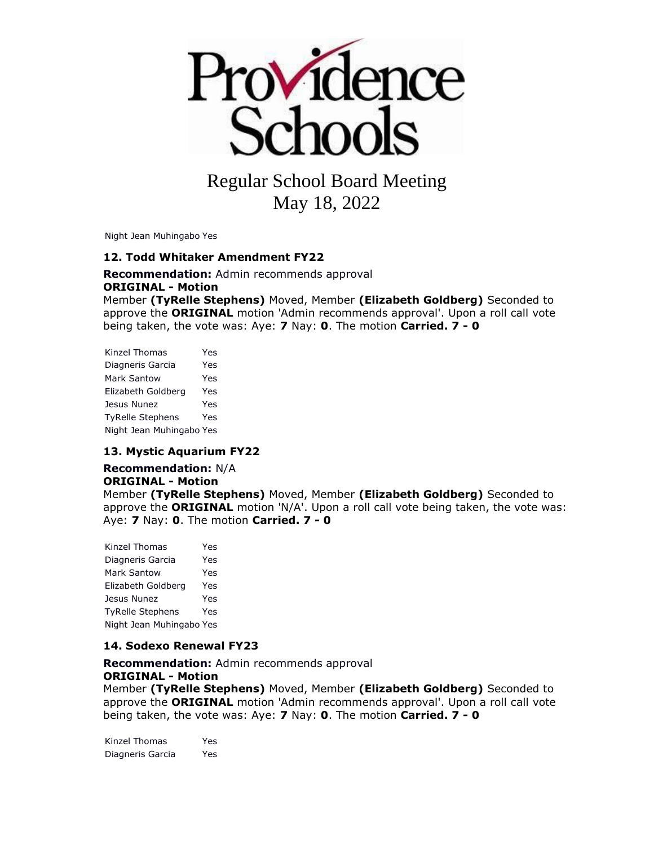

Night Jean Muhingabo Yes

#### **12. Todd Whitaker Amendment FY22**

**Recommendation:** Admin recommends approval **ORIGINAL - Motion** Member **(TyRelle Stephens)** Moved, Member **(Elizabeth Goldberg)** Seconded to approve the **ORIGINAL** motion 'Admin recommends approval'. Upon a roll call vote being taken, the vote was: Aye: **7** Nay: **0**. The motion **Carried. 7 - 0** 

| Kinzel Thomas            | Yes |
|--------------------------|-----|
| Diagneris Garcia         | Yes |
| Mark Santow              | Yes |
| Elizabeth Goldberg       | Yes |
| Jesus Nunez              | Yes |
| <b>TyRelle Stephens</b>  | Yes |
| Night Jean Muhingabo Yes |     |

#### **13. Mystic Aquarium FY22**

#### **Recommendation:** N/A **ORIGINAL - Motion** Member **(TyRelle Stephens)** Moved, Member **(Elizabeth Goldberg)** Seconded to approve the **ORIGINAL** motion 'N/A'. Upon a roll call vote being taken, the vote was: Aye: **7** Nay: **0**. The motion **Carried. 7 - 0**

| Kinzel Thomas            | Yes |
|--------------------------|-----|
| Diagneris Garcia         | Yes |
| Mark Santow              | Yes |
| Elizabeth Goldberg       | Yes |
| Jesus Nunez              | Yes |
| <b>TyRelle Stephens</b>  | Yes |
| Night Jean Muhingabo Yes |     |

#### **14. Sodexo Renewal FY23**

**Recommendation:** Admin recommends approval **ORIGINAL - Motion**

Member **(TyRelle Stephens)** Moved, Member **(Elizabeth Goldberg)** Seconded to approve the **ORIGINAL** motion 'Admin recommends approval'. Upon a roll call vote being taken, the vote was: Aye: **7** Nay: **0**. The motion **Carried. 7 - 0** 

Kinzel Thomas Yes Diagneris Garcia Yes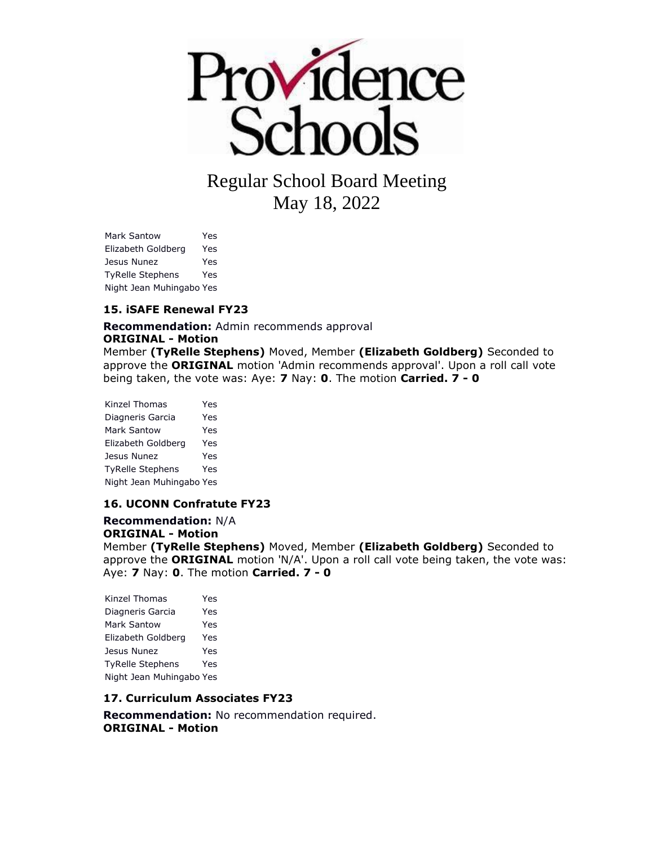

Mark Santow Yes Elizabeth Goldberg Yes Jesus Nunez Yes TyRelle Stephens Yes Night Jean Muhingabo Yes

#### **15. iSAFE Renewal FY23**

**Recommendation:** Admin recommends approval

#### **ORIGINAL - Motion**

Member **(TyRelle Stephens)** Moved, Member **(Elizabeth Goldberg)** Seconded to approve the **ORIGINAL** motion 'Admin recommends approval'. Upon a roll call vote being taken, the vote was: Aye: **7** Nay: **0**. The motion **Carried. 7 - 0** 

Kinzel Thomas Yes Diagneris Garcia Yes Mark Santow Yes Elizabeth Goldberg Yes Jesus Nunez Yes TyRelle Stephens Yes Night Jean Muhingabo Yes

#### **16. UCONN Confratute FY23**

**Recommendation:** N/A **ORIGINAL - Motion** Member **(TyRelle Stephens)** Moved, Member **(Elizabeth Goldberg)** Seconded to approve the **ORIGINAL** motion 'N/A'. Upon a roll call vote being taken, the vote was: Aye: **7** Nay: **0**. The motion **Carried. 7 - 0** 

Kinzel Thomas Yes Diagneris Garcia Yes Mark Santow Yes Elizabeth Goldberg Yes Jesus Nunez Yes TyRelle Stephens Yes Night Jean Muhingabo Yes

#### **17. Curriculum Associates FY23**

**Recommendation:** No recommendation required. **ORIGINAL - Motion**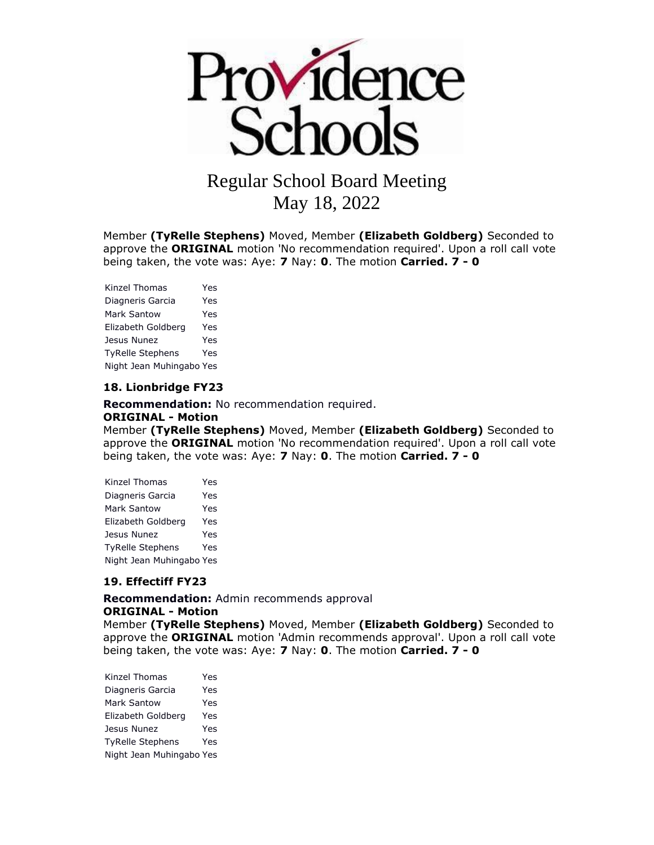

Member **(TyRelle Stephens)** Moved, Member **(Elizabeth Goldberg)** Seconded to approve the **ORIGINAL** motion 'No recommendation required'. Upon a roll call vote being taken, the vote was: Aye: **7** Nay: **0**. The motion **Carried. 7 - 0** 

Kinzel Thomas Yes Diagneris Garcia Yes Mark Santow Yes Elizabeth Goldberg Yes Jesus Nunez Yes TyRelle Stephens Yes Night Jean Muhingabo Yes

#### **18. Lionbridge FY23**

**Recommendation:** No recommendation required. **ORIGINAL - Motion**

Member **(TyRelle Stephens)** Moved, Member **(Elizabeth Goldberg)** Seconded to approve the **ORIGINAL** motion 'No recommendation required'. Upon a roll call vote being taken, the vote was: Aye: **7** Nay: **0**. The motion **Carried. 7 - 0** 

| Kinzel Thomas            | Yes |
|--------------------------|-----|
| Diagneris Garcia         | Yes |
| Mark Santow              | Yes |
| Elizabeth Goldberg       | Yes |
| Jesus Nunez              | Yes |
| <b>TyRelle Stephens</b>  | Yes |
| Night Jean Muhingabo Yes |     |

#### **19. Effectiff FY23**

**Recommendation:** Admin recommends approval **ORIGINAL - Motion**

Member **(TyRelle Stephens)** Moved, Member **(Elizabeth Goldberg)** Seconded to approve the **ORIGINAL** motion 'Admin recommends approval'. Upon a roll call vote being taken, the vote was: Aye: **7** Nay: **0**. The motion **Carried. 7 - 0** 

| Kinzel Thomas            | Yes |
|--------------------------|-----|
| Diagneris Garcia         | Yes |
| Mark Santow              | Yes |
| Elizabeth Goldberg       | Yes |
| Jesus Nunez              | Yes |
| <b>TyRelle Stephens</b>  | Yes |
| Night Jean Muhingabo Yes |     |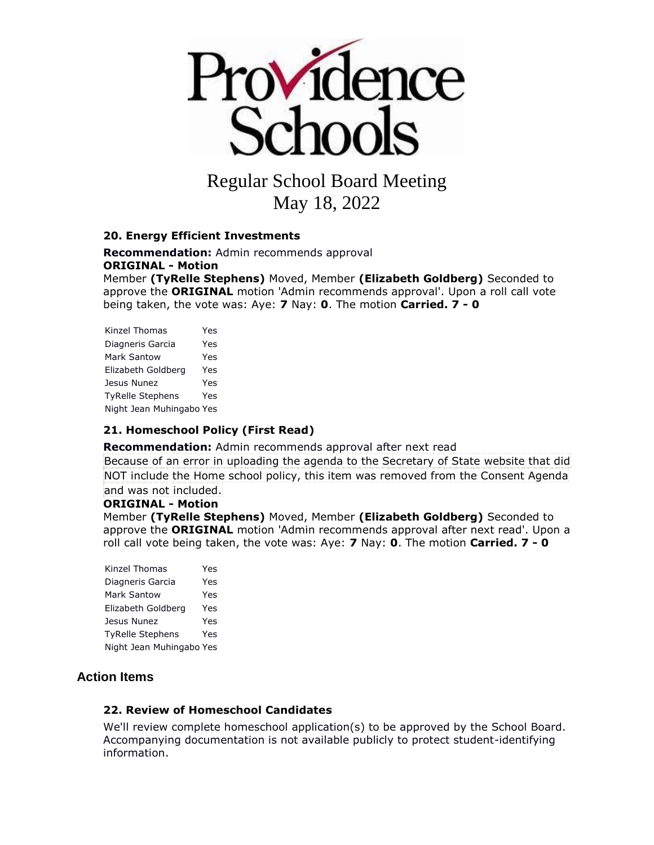

# Regular School Board Meeting

May 18, 2022

#### **20. Energy Efficient Investments**

**Recommendation:** Admin recommends approval **ORIGINAL - Motion**

Member **(TyRelle Stephens)** Moved, Member **(Elizabeth Goldberg)** Seconded to approve the **ORIGINAL** motion 'Admin recommends approval'. Upon a roll call vote being taken, the vote was: Aye: **7** Nay: **0**. The motion **Carried. 7 - 0** 

Kinzel Thomas Yes Diagneris Garcia Yes Mark Santow Yes Elizabeth Goldberg Yes Jesus Nunez Yes TyRelle Stephens Yes Night Jean Muhingabo Yes

#### **21. Homeschool Policy (First Read)**

**Recommendation:** Admin recommends approval after next read

Because of an error in uploading the agenda to the Secretary of State website that did NOT include the Home school policy, this item was removed from the Consent Agenda and was not included.

#### **ORIGINAL - Motion**

Member **(TyRelle Stephens)** Moved, Member **(Elizabeth Goldberg)** Seconded to approve the **ORIGINAL** motion 'Admin recommends approval after next read'. Upon a roll call vote being taken, the vote was: Aye: **7** Nay: **0**. The motion **Carried. 7 - 0** 

Kinzel Thomas Yes Diagneris Garcia Yes Mark Santow Yes Elizabeth Goldberg Yes Jesus Nunez Yes TyRelle Stephens Yes Night Jean Muhingabo Yes

### **Action Items**

#### **22. Review of Homeschool Candidates**

We'll review complete homeschool application(s) to be approved by the School Board. Accompanying documentation is not available publicly to protect student-identifying information.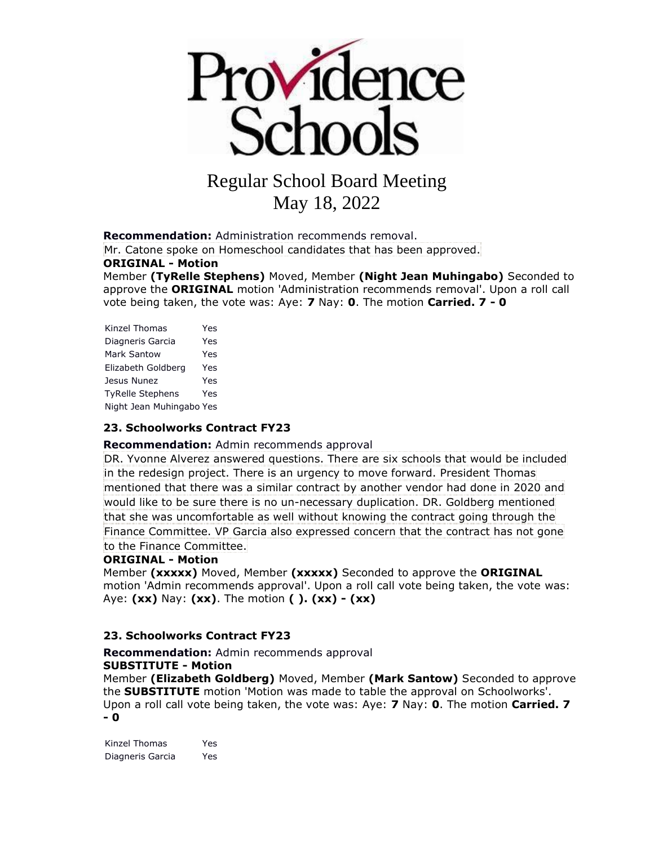

**Recommendation:** Administration recommends removal.

Mr. Catone spoke on Homeschool candidates that has been approved.

#### **ORIGINAL - Motion**

Member **(TyRelle Stephens)** Moved, Member **(Night Jean Muhingabo)** Seconded to approve the **ORIGINAL** motion 'Administration recommends removal'. Upon a roll call vote being taken, the vote was: Aye: **7** Nay: **0**. The motion **Carried. 7 - 0** 

| Kinzel Thomas            | Yes |
|--------------------------|-----|
| Diagneris Garcia         | Yes |
| Mark Santow              | Yes |
| Elizabeth Goldberg       | Yes |
| Jesus Nunez              | Yes |
| <b>TyRelle Stephens</b>  | Yes |
| Night Jean Muhingabo Yes |     |

#### **23. Schoolworks Contract FY23**

#### **Recommendation:** Admin recommends approval

DR. Yvonne Alverez answered questions. There are six schools that would be included in the redesign project. There is an urgency to move forward. President Thomas mentioned that there was a similar contract by another vendor had done in 2020 and would like to be sure there is no un-necessary duplication. DR. Goldberg mentioned that she was uncomfortable as well without knowing the contract going through the Finance Committee. VP Garcia also expressed concern that the contract has not gone to the Finance Committee.

#### **ORIGINAL - Motion**

Member **(xxxxx)** Moved, Member **(xxxxx)** Seconded to approve the **ORIGINAL**  motion 'Admin recommends approval'. Upon a roll call vote being taken, the vote was: Aye: **(xx)** Nay: **(xx)**. The motion **( ). (xx) - (xx)** 

#### **23. Schoolworks Contract FY23**

#### **Recommendation:** Admin recommends approval **SUBSTITUTE - Motion**

Member **(Elizabeth Goldberg)** Moved, Member **(Mark Santow)** Seconded to approve the **SUBSTITUTE** motion 'Motion was made to table the approval on Schoolworks'. Upon a roll call vote being taken, the vote was: Aye: **7** Nay: **0**. The motion **Carried. 7 - 0** 

Kinzel Thomas Yes Diagneris Garcia Yes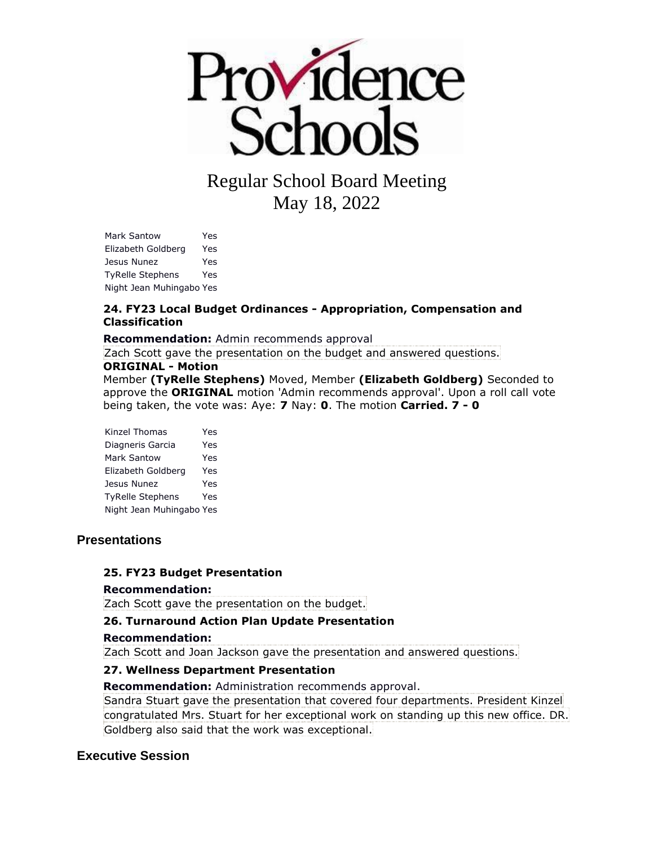

Mark Santow Yes Elizabeth Goldberg Yes Jesus Nunez Yes TyRelle Stephens Yes Night Jean Muhingabo Yes

#### **24. FY23 Local Budget Ordinances - Appropriation, Compensation and Classification**

**Recommendation:** Admin recommends approval

Zach Scott gave the presentation on the budget and answered questions.

#### **ORIGINAL - Motion**

Member **(TyRelle Stephens)** Moved, Member **(Elizabeth Goldberg)** Seconded to approve the **ORIGINAL** motion 'Admin recommends approval'. Upon a roll call vote being taken, the vote was: Aye: **7** Nay: **0**. The motion **Carried. 7 - 0** 

| Kinzel Thomas            | Yes |
|--------------------------|-----|
| Diagneris Garcia         | Yes |
| <b>Mark Santow</b>       | Yes |
| Elizabeth Goldberg       | Yes |
| Jesus Nunez              | Yes |
| <b>TyRelle Stephens</b>  | Yes |
| Night Jean Muhingabo Yes |     |

#### **Presentations**

#### **25. FY23 Budget Presentation**

#### **Recommendation:**

Zach Scott gave the presentation on the budget.

#### **26. Turnaround Action Plan Update Presentation**

#### **Recommendation:**

Zach Scott and Joan Jackson gave the presentation and answered questions.

#### **27. Wellness Department Presentation**

**Recommendation:** Administration recommends approval.

Sandra Stuart gave the presentation that covered four departments. President Kinzel congratulated Mrs. Stuart for her exceptional work on standing up this new office. DR. Goldberg also said that the work was exceptional.

### **Executive Session**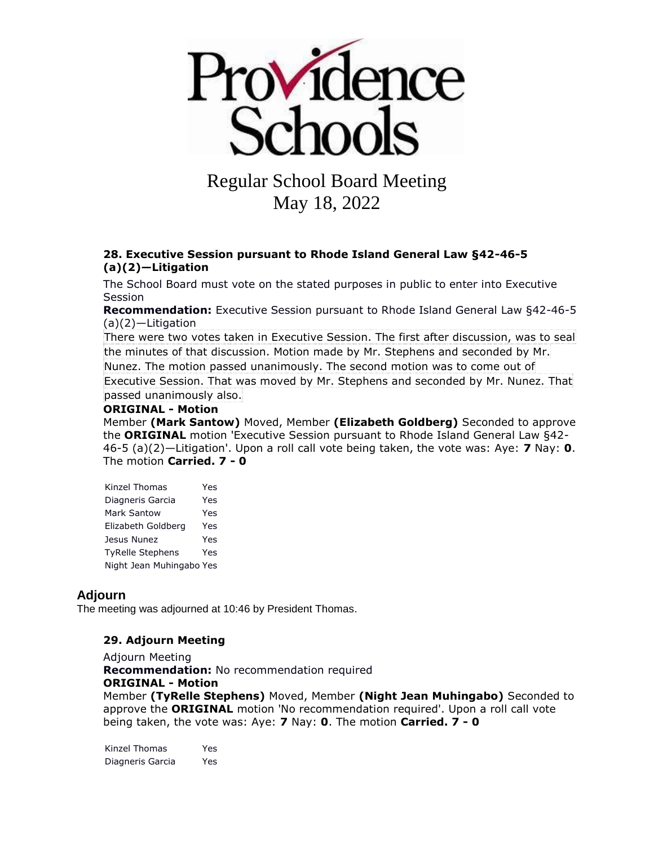

#### **28. Executive Session pursuant to Rhode Island General Law §42-46-5 (a)(2)—Litigation**

The School Board must vote on the stated purposes in public to enter into Executive Session

**Recommendation:** Executive Session pursuant to Rhode Island General Law §42-46-5 (a)(2)—Litigation

There were two votes taken in Executive Session. The first after discussion, was to seal the minutes of that discussion. Motion made by Mr. Stephens and seconded by Mr. Nunez. The motion passed unanimously. The second motion was to come out of Executive Session. That was moved by Mr. Stephens and seconded by Mr. Nunez. That passed unanimously also.

#### **ORIGINAL - Motion**

Member **(Mark Santow)** Moved, Member **(Elizabeth Goldberg)** Seconded to approve the **ORIGINAL** motion 'Executive Session pursuant to Rhode Island General Law §42- 46-5 (a)(2)—Litigation'. Upon a roll call vote being taken, the vote was: Aye: **7** Nay: **0**. The motion **Carried. 7 - 0** 

| Kinzel Thomas            | Yes |
|--------------------------|-----|
| Diagneris Garcia         | Yes |
| Mark Santow              | Yes |
| Elizabeth Goldberg       | Yes |
| Jesus Nunez              | Yes |
| <b>TyRelle Stephens</b>  | Yes |
| Night Jean Muhingabo Yes |     |

#### **Adjourn**

The meeting was adjourned at 10:46 by President Thomas.

#### **29. Adjourn Meeting**

Adjourn Meeting **Recommendation:** No recommendation required

**ORIGINAL - Motion** Member **(TyRelle Stephens)** Moved, Member **(Night Jean Muhingabo)** Seconded to approve the **ORIGINAL** motion 'No recommendation required'. Upon a roll call vote being taken, the vote was: Aye: **7** Nay: **0**. The motion **Carried. 7 - 0** 

Kinzel Thomas Yes Diagneris Garcia Yes